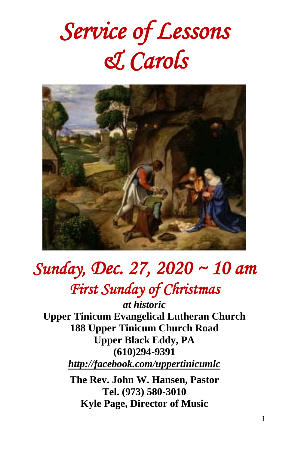# *Service of Lessons & Carols*



## *Sunday, Dec. 27, 2020 ~ 10 am First Sunday of Christmas*

*at historic* **Upper Tinicum Evangelical Lutheran Church 188 Upper Tinicum Church Road Upper Black Eddy, PA (610)294-9391** *http://facebook.com/uppertinicumlc*

**The Rev. John W. Hansen, Pastor Tel. (973) 580-3010 Kyle Page, Director of Music**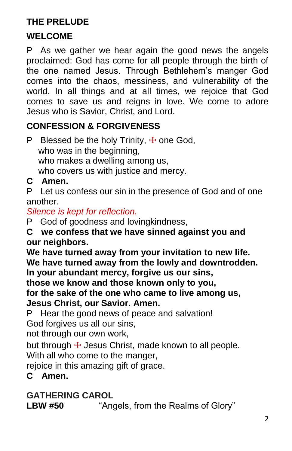## **THE PRELUDE**

## **WELCOME**

P As we gather we hear again the good news the angels proclaimed: God has come for all people through the birth of the one named Jesus. Through Bethlehem's manger God comes into the chaos, messiness, and vulnerability of the world. In all things and at all times, we rejoice that God comes to save us and reigns in love. We come to adore Jesus who is Savior, Christ, and Lord.

## **CONFESSION & FORGIVENESS**

P Blessed be the holy Trinity,  $\pm$  one God, who was in the beginning, who makes a dwelling among us, who covers us with justice and mercy.

## **C Amen.**

P Let us confess our sin in the presence of God and of one another.

## *Silence is kept for reflection.*

P God of goodness and lovingkindness,

**C we confess that we have sinned against you and our neighbors.**

**We have turned away from your invitation to new life. We have turned away from the lowly and downtrodden. In your abundant mercy, forgive us our sins,**

**those we know and those known only to you,**

**for the sake of the one who came to live among us, Jesus Christ, our Savior. Amen.**

P Hear the good news of peace and salvation!

God forgives us all our sins,

not through our own work,

but through  $\pm$  Jesus Christ, made known to all people.

With all who come to the manger,

rejoice in this amazing gift of grace.

## **C Amen.**

## **GATHERING CAROL**

**LBW #50** "Angels, from the Realms of Glory"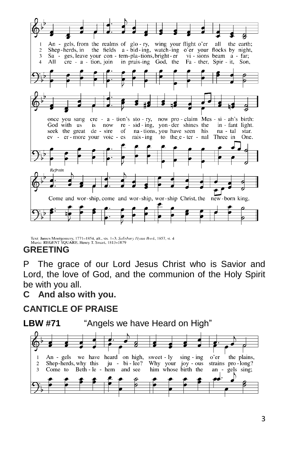

Text: James Montgomery, 1771-1854, alt., sts. 1-3; Salisbury Hymn Book, 1857, st. 4 Music: REGENT SQUARE, Henry T. Smart, 1813-1879

## **GREETING**

P The grace of our Lord Jesus Christ who is Savior and Lord, the love of God, and the communion of the Holy Spirit be with you all.

## **C And also with you.**

## **CANTICLE OF PRAISE**



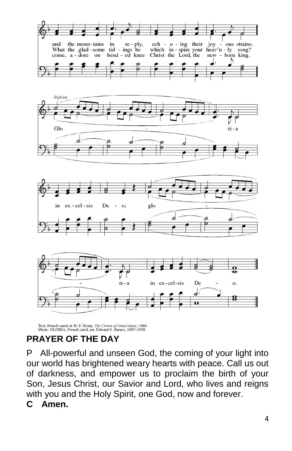

Text: French carol; tr. H. F. Hemy, The Crown of Jesus Music, 1864<br>Music: GLORIA, French carol; arr. Edward S. Barnes, 1887-1958

## **PRAYER OF THE DAY**

P All-powerful and unseen God, the coming of your light into our world has brightened weary hearts with peace. Call us out of darkness, and empower us to proclaim the birth of your Son, Jesus Christ, our Savior and Lord, who lives and reigns with you and the Holy Spirit, one God, now and forever.

**C Amen.**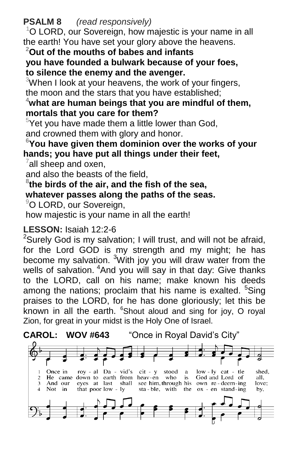**PSALM 8** *(read responsively)*

 $1$ O LORD, our Sovereign, how majestic is your name in all the earth! You have set your glory above the heavens.

#### **<sup>2</sup>Out of the mouths of babes and infants you have founded a bulwark because of your foes, to silence the enemy and the avenger.**

 $3$ When I look at your heavens, the work of your fingers, the moon and the stars that you have established;

#### **<sup>4</sup>what are human beings that you are mindful of them, mortals that you care for them?**

 $5$ Yet you have made them a little lower than God, and crowned them with glory and honor.

#### **<sup>6</sup>You have given them dominion over the works of your hands; you have put all things under their feet,**

 $7$ all sheep and oxen,

and also the beasts of the field,

## **8 the birds of the air, and the fish of the sea,**

### **whatever passes along the paths of the seas.**

<sup>9</sup>O LORD, our Sovereign,

how majestic is your name in all the earth!

## **LESSON:** Isaiah 12:2-6

<sup>2</sup>Surely God is my salvation; I will trust, and will not be afraid, for the Lord GOD is my strength and my might; he has become my salvation. <sup>3</sup>With joy you will draw water from the wells of salvation. <sup>4</sup>And you will say in that day: Give thanks to the LORD, call on his name; make known his deeds among the nations; proclaim that his name is exalted. <sup>5</sup>Sing praises to the LORD, for he has done gloriously; let this be known in all the earth.  $6$ Shout aloud and sing for joy, O royal Zion, for great in your midst is the Holy One of Israel.

**CAROL: WOV #643** "Once in Royal David's City"

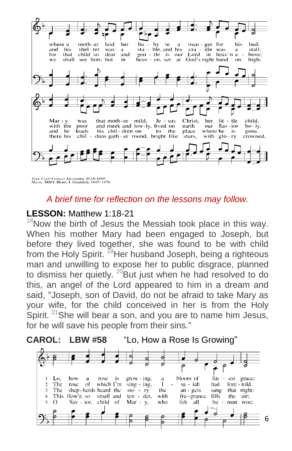

Text: Cecil Frances Alexander, 1818-1895<br>Music: IRBY, Henry J. Gauntlett, 1805-1876

#### *A brief time for reflection on the lessons may follow.*

#### **LESSON:** Matthew 1:18-21

 $18$ Now the birth of Jesus the Messiah took place in this way. When his mother Mary had been engaged to Joseph, but before they lived together, she was found to be with child from the Holy Spirit.  $19$ Her husband Joseph, being a righteous man and unwilling to expose her to public disgrace, planned to dismiss her quietly.  $^{20}$ But just when he had resolved to do this, an angel of the Lord appeared to him in a dream and said, "Joseph, son of David, do not be afraid to take Mary as your wife, for the child conceived in her is from the Holy Spirit. <sup>21</sup>She will bear a son, and you are to name him Jesus, for he will save his people from their sins."



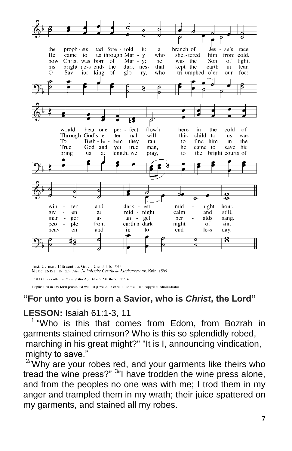

Text: German, 15th cent.; tr. Gracia Grindal, b. 1943 Music: ES IST EIN ROS. Alte Catholische Geistliche Kirchengesäng, Köln. 1599

Text @ 1978 Lutheran Book of Worship, admin. Augsburg Fortress

Duplication in any form prohibited without permission or valid license from copyright administrator.

## **"For unto you is born a Savior, who is** *Christ***, the Lord"**

## **LESSON:** Isaiah 61:1-3, 11

<sup>1</sup> "Who is this that comes from Edom, from Bozrah in garments stained crimson? Who is this so splendidly robed, marching in his great might?" "It is I, announcing vindication, mighty to save."

 $^{2}$ "Why are your robes red, and your garments like theirs who tread the wine press?" <sup>3</sup>"I have trodden the wine press alone, and from the peoples no one was with me; I trod them in my anger and trampled them in my wrath; their juice spattered on my garments, and stained all my robes.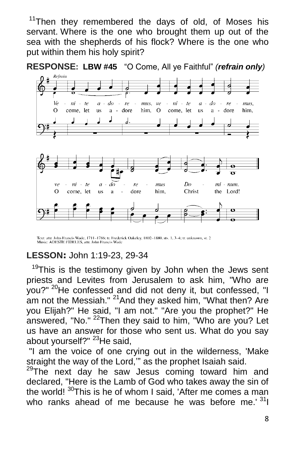<sup>11</sup>Then they remembered the days of old, of Moses his servant. Where is the one who brought them up out of the sea with the shepherds of his flock? Where is the one who put within them his holy spirit?

**RESPONSE: LBW #45** "O Come, All ye Faithful" *(refrain only)*



Text: attr. John Francis Wade, 1711-1786; tr. Frederick Oakeley, 1802-1880, sts. 1, 3-4; tr. unknown, st. 2 Music: ADESTE FIDELES, attr. John Francis Wade

## **LESSON:** John 1:19-23, 29-34

 $19$ This is the testimony given by John when the Jews sent priests and Levites from Jerusalem to ask him, "Who are you?" <sup>20</sup>He confessed and did not deny it, but confessed, "I am not the Messiah." <sup>21</sup> And they asked him, "What then? Are you Elijah?" He said, "I am not." "Are you the prophet?" He answered, "No."  $^{22}$ Then they said to him, "Who are you? Let us have an answer for those who sent us. What do you say about yourself?" <sup>23</sup>He said,

"I am the voice of one crying out in the wilderness, 'Make straight the way of the Lord,'" as the prophet Isaiah said.

<sup>29</sup>The next day he saw Jesus coming toward him and declared, "Here is the Lamb of God who takes away the sin of the world! <sup>30</sup>This is he of whom I said, 'After me comes a man who ranks ahead of me because he was before me.  $31$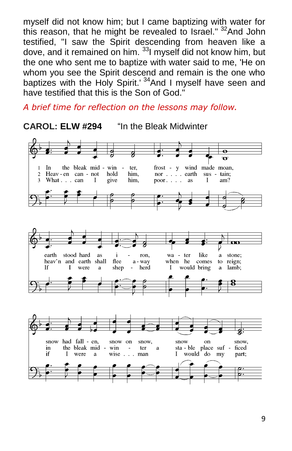myself did not know him; but I came baptizing with water for this reason, that he might be revealed to Israel." <sup>32</sup>And John testified, "I saw the Spirit descending from heaven like a dove, and it remained on him. <sup>33</sup>I myself did not know him, but the one who sent me to baptize with water said to me, 'He on whom you see the Spirit descend and remain is the one who baptizes with the Holy Spirit.<sup>34</sup> And I myself have seen and have testified that this is the Son of God."

*A brief time for reflection on the lessons may follow.*

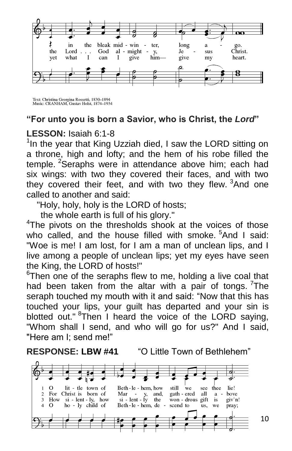

Text: Christina Georgina Rossetti, 1830-1894<br>Music: CRANHAM, Gustav Holst, 1874-1934

#### **"For unto you is born a Savior, who is Christ, the** *Lord***"**

#### **LESSON:** Isaiah 6:1-8

<sup>1</sup>In the year that King Uzziah died, I saw the LORD sitting on a throne, high and lofty; and the hem of his robe filled the temple. <sup>2</sup>Seraphs were in attendance above him; each had six wings: with two they covered their faces, and with two they covered their feet, and with two they flew. <sup>3</sup>And one called to another and said:

"Holy, holy, holy is the LORD of hosts;

the whole earth is full of his glory."

<sup>4</sup>The pivots on the thresholds shook at the voices of those who called, and the house filled with smoke.  $5$ And I said: "Woe is me! I am lost, for I am a man of unclean lips, and I live among a people of unclean lips; yet my eyes have seen the King, the LORD of hosts!"

 $6$ Then one of the seraphs flew to me, holding a live coal that had been taken from the altar with a pair of tongs. <sup>7</sup>The seraph touched my mouth with it and said: "Now that this has touched your lips, your guilt has departed and your sin is blotted out." <sup>8</sup>Then I heard the voice of the LORD saying, "Whom shall I send, and who will go for us?" And I said, "Here am I; send me!"

**RESPONSE: LBW #41** "O Little Town of Bethlehem"

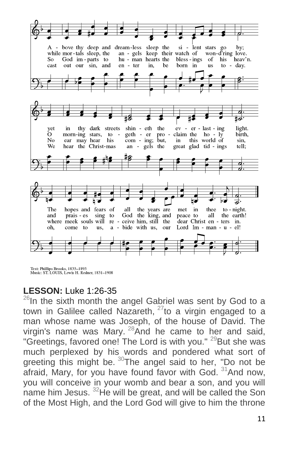

Text: Phillips Brooks, 1835-1893 Music: ST. LOUIS, Lewis H. Redner, 1831-1908

## **LESSON:** Luke 1:26-35

 $^{26}$ In the sixth month the angel Gabriel was sent by God to a town in Galilee called Nazareth,  $27$  to a virgin engaged to a man whose name was Joseph, of the house of David. The virgin's name was Mary.  $28$ And he came to her and said. "Greetings, favored one! The Lord is with you." <sup>29</sup>But she was much perplexed by his words and pondered what sort of greeting this might be.  $30$ The angel said to her, "Do not be afraid, Mary, for you have found favor with God.  $31$ And now, you will conceive in your womb and bear a son, and you will name him Jesus. <sup>32</sup>He will be great, and will be called the Son of the Most High, and the Lord God will give to him the throne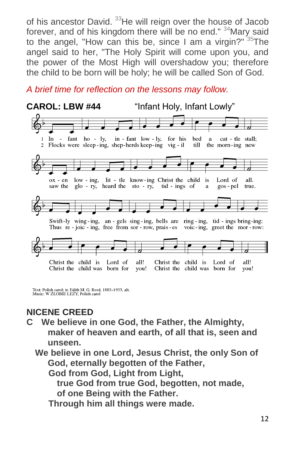of his ancestor David. <sup>33</sup>He will reign over the house of Jacob forever, and of his kingdom there will be no end." <sup>34</sup>Mary said to the angel, "How can this be, since I am a virgin?"  $35$ The angel said to her, "The Holy Spirit will come upon you, and the power of the Most High will overshadow you; therefore the child to be born will be holy; he will be called Son of God.

*A brief time for reflection on the lessons may follow.*



Text: Polish carol; tr. Edith M. G. Reed, 1885-1933, alt.<br>Music: W ŻŁOBIE LEŻY, Polish carol

## **NICENE CREED**

**C We believe in one God, the Father, the Almighty, maker of heaven and earth, of all that is, seen and unseen.**

 **We believe in one Lord, Jesus Christ, the only Son of God, eternally begotten of the Father,**

**God from God, Light from Light,**

 **true God from true God, begotten, not made, of one Being with the Father.**

**Through him all things were made.**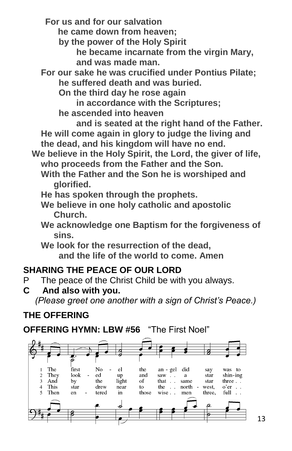**For us and for our salvation**

 **he came down from heaven;**

**by the power of the Holy Spirit**

**he became incarnate from the virgin Mary, and was made man.**

**For our sake he was crucified under Pontius Pilate; he suffered death and was buried.**

**On the third day he rose again**

**in accordance with the Scriptures;**

**he ascended into heaven**

**and is seated at the right hand of the Father. He will come again in glory to judge the living and the dead, and his kingdom will have no end.**

 **We believe in the Holy Spirit, the Lord, the giver of life, who proceeds from the Father and the Son.**

- **With the Father and the Son he is worshiped and glorified.**
- **He has spoken through the prophets.**
- **We believe in one holy catholic and apostolic Church.**
- **We acknowledge one Baptism for the forgiveness of sins.**

**We look for the resurrection of the dead, and the life of the world to come. Amen**

## **SHARING THE PEACE OF OUR LORD**

- P The peace of the Christ Child be with you always.
- **C And also with you.**

 *(Please greet one another with a sign of Christ's Peace.)*

## **THE OFFERING**

## **OFFERING HYMN: LBW #56** "The First Noel"

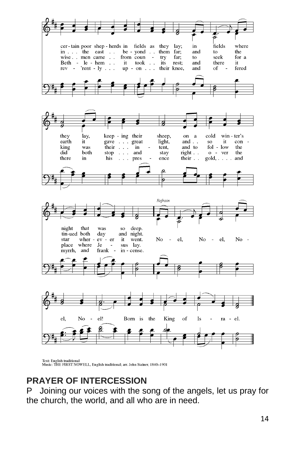

Text: English traditional<br>Music: THE FIRST NOWELL, English traditional; arr. John Stainer, 1840–1901

#### **PRAYER OF INTERCESSION**

P Joining our voices with the song of the angels, let us pray for the church, the world, and all who are in need.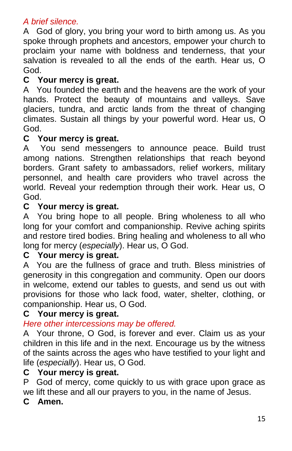#### *A brief silence.*

A God of glory, you bring your word to birth among us. As you spoke through prophets and ancestors, empower your church to proclaim your name with boldness and tenderness, that your salvation is revealed to all the ends of the earth. Hear us, O God.

#### **C Your mercy is great.**

A You founded the earth and the heavens are the work of your hands. Protect the beauty of mountains and valleys. Save glaciers, tundra, and arctic lands from the threat of changing climates. Sustain all things by your powerful word. Hear us, O God.

#### **C Your mercy is great.**

A You send messengers to announce peace. Build trust among nations. Strengthen relationships that reach beyond borders. Grant safety to ambassadors, relief workers, military personnel, and health care providers who travel across the world. Reveal your redemption through their work. Hear us, O God.

#### **C Your mercy is great.**

A You bring hope to all people. Bring wholeness to all who long for your comfort and companionship. Revive aching spirits and restore tired bodies. Bring healing and wholeness to all who long for mercy (*especially*). Hear us, O God.

#### **C Your mercy is great.**

A You are the fullness of grace and truth. Bless ministries of generosity in this congregation and community. Open our doors in welcome, extend our tables to guests, and send us out with provisions for those who lack food, water, shelter, clothing, or companionship. Hear us, O God.

#### **C Your mercy is great.**

#### *Here other intercessions may be offered.*

A Your throne, O God, is forever and ever. Claim us as your children in this life and in the next. Encourage us by the witness of the saints across the ages who have testified to your light and life (*especially*). Hear us, O God.

#### **C Your mercy is great.**

P God of mercy, come quickly to us with grace upon grace as we lift these and all our prayers to you, in the name of Jesus.

#### **C Amen.**